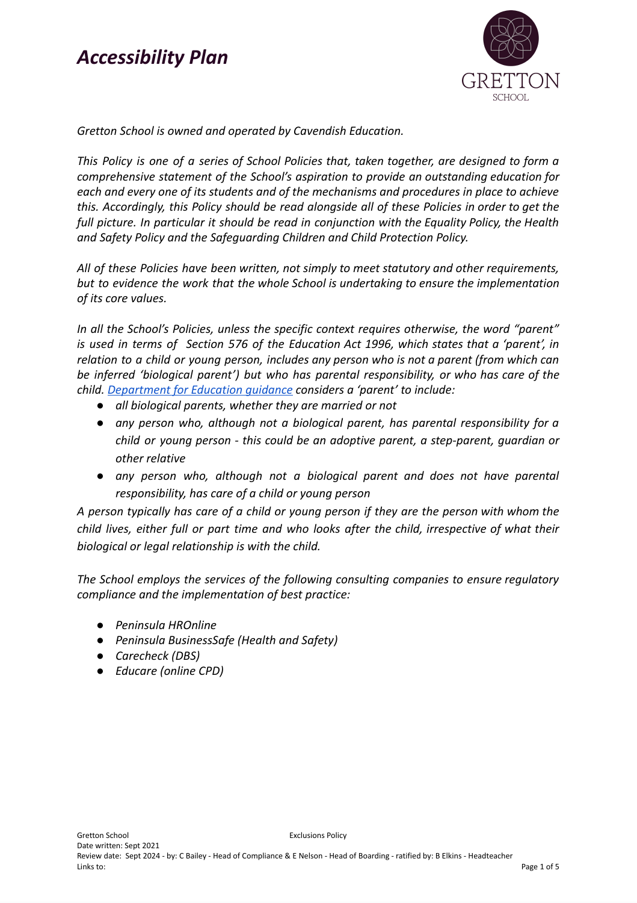

*Gretton School is owned and operated by Cavendish Education.*

*This Policy is one of a series of School Policies that, taken together, are designed to form a comprehensive statement of the School's aspiration to provide an outstanding education for each and every one of its students and of the mechanisms and procedures in place to achieve this. Accordingly, this Policy should be read alongside all of these Policies in order to get the full picture. In particular it should be read in conjunction with the Equality Policy, the Health and Safety Policy and the Safeguarding Children and Child Protection Policy.*

*All of these Policies have been written, not simply to meet statutory and other requirements, but to evidence the work that the whole School is undertaking to ensure the implementation of its core values.*

*In all the School's Policies, unless the specific context requires otherwise, the word "parent" is used in terms of Section 576 of the Education Act 1996, which states that a 'parent', in relation to a child or young person, includes any person who is not a parent (from which can be inferred 'biological parent') but who has parental responsibility, or who has care of the child. [Department](https://www.gov.uk/government/publications/dealing-with-issues-relating-to-parental-responsibility/understanding-and-dealing-with-issues-relating-to-parental-responsibility) for Education guidance considers a 'parent' to include:*

- *● all biological parents, whether they are married or not*
- *● any person who, although not a biological parent, has parental responsibility for a child or young person - this could be an adoptive parent, a step-parent, guardian or other relative*
- *● any person who, although not a biological parent and does not have parental responsibility, has care of a child or young person*

*A person typically has care of a child or young person if they are the person with whom the child lives, either full or part time and who looks after the child, irrespective of what their biological or legal relationship is with the child.*

*The School employs the services of the following consulting companies to ensure regulatory compliance and the implementation of best practice:*

- *● Peninsula HROnline*
- *● Peninsula BusinessSafe (Health and Safety)*
- *● Carecheck (DBS)*
- *● Educare (online CPD)*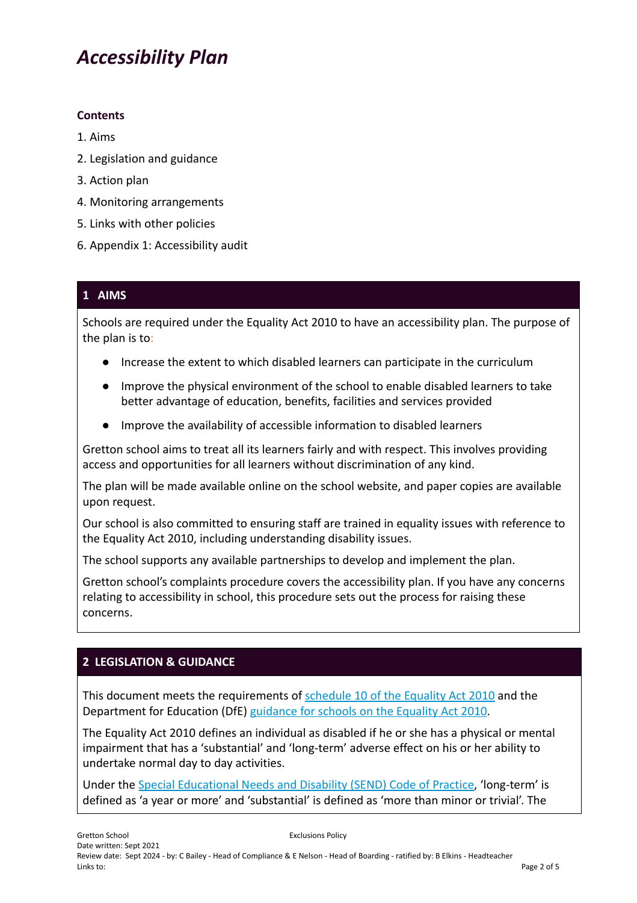#### **Contents**

- 1. Aims
- 2. Legislation and guidance
- 3. Action plan
- 4. Monitoring arrangements
- 5. Links with other policies
- 6. Appendix 1: Accessibility audit

#### **1 AIMS**

Schools are required under the Equality Act 2010 to have an accessibility plan. The purpose of the plan is to:

- Increase the extent to which disabled learners can participate in the curriculum
- Improve the physical environment of the school to enable disabled learners to take better advantage of education, benefits, facilities and services provided
- Improve the availability of accessible information to disabled learners

Gretton school aims to treat all its learners fairly and with respect. This involves providing access and opportunities for all learners without discrimination of any kind.

The plan will be made available online on the school website, and paper copies are available upon request.

Our school is also committed to ensuring staff are trained in equality issues with reference to the Equality Act 2010, including understanding disability issues.

The school supports any available partnerships to develop and implement the plan.

Gretton school's complaints procedure covers the accessibility plan. If you have any concerns relating to accessibility in school, this procedure sets out the process for raising these concerns.

### **2 LEGISLATION & GUIDANCE**

This document meets the requirements of [schedule](http://www.legislation.gov.uk/ukpga/2010/15/schedule/10) 10 of the Equality Act 2010 and the Department for Education (DfE) [guidance](https://www.gov.uk/government/publications/equality-act-2010-advice-for-schools) for schools on the Equality Act 2010.

The Equality Act 2010 defines an individual as disabled if he or she has a physical or mental impairment that has a 'substantial' and 'long-term' adverse effect on his or her ability to undertake normal day to day activities.

Under the Special [Educational](https://www.gov.uk/government/publications/send-code-of-practice-0-to-25) Needs and Disability (SEND) Code of Practice, 'long-term' is defined as 'a year or more' and 'substantial' is defined as 'more than minor or trivial'. The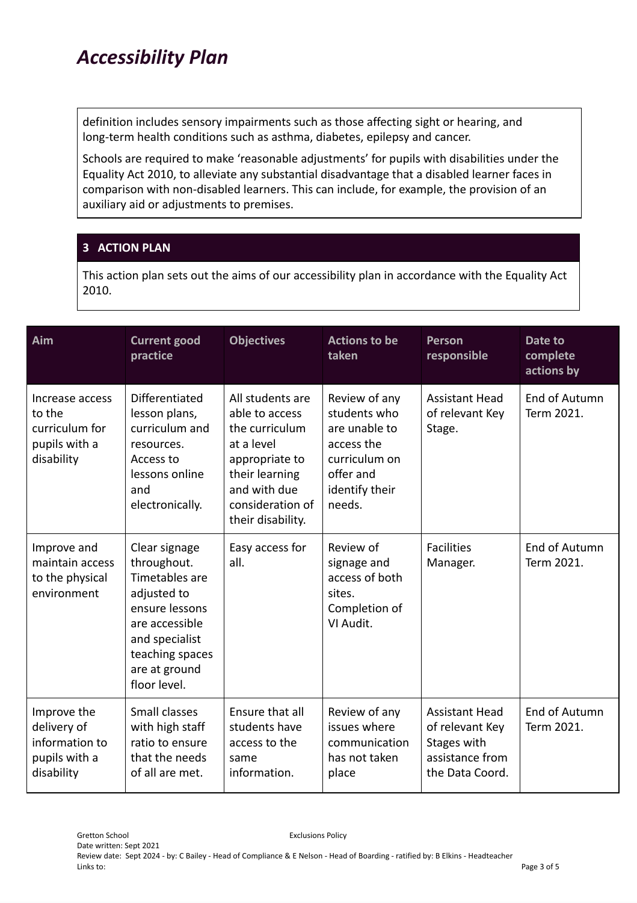definition includes sensory impairments such as those affecting sight or hearing, and long-term health conditions such as asthma, diabetes, epilepsy and cancer.

Schools are required to make 'reasonable adjustments' for pupils with disabilities under the Equality Act 2010, to alleviate any substantial disadvantage that a disabled learner faces in comparison with non-disabled learners. This can include, for example, the provision of an auxiliary aid or adjustments to premises.

#### **3 ACTION PLAN**

This action plan sets out the aims of our accessibility plan in accordance with the Equality Act 2010.

| Aim                                                                         | <b>Current good</b><br>practice                                                                                                                                         | <b>Objectives</b>                                                                                                                                               | <b>Actions to be</b><br>taken                                                                                          | <b>Person</b><br>responsible                                                                  | Date to<br>complete<br>actions by |
|-----------------------------------------------------------------------------|-------------------------------------------------------------------------------------------------------------------------------------------------------------------------|-----------------------------------------------------------------------------------------------------------------------------------------------------------------|------------------------------------------------------------------------------------------------------------------------|-----------------------------------------------------------------------------------------------|-----------------------------------|
| Increase access<br>to the<br>curriculum for<br>pupils with a<br>disability  | Differentiated<br>lesson plans,<br>curriculum and<br>resources.<br>Access to<br>lessons online<br>and<br>electronically.                                                | All students are<br>able to access<br>the curriculum<br>at a level<br>appropriate to<br>their learning<br>and with due<br>consideration of<br>their disability. | Review of any<br>students who<br>are unable to<br>access the<br>curriculum on<br>offer and<br>identify their<br>needs. | <b>Assistant Head</b><br>of relevant Key<br>Stage.                                            | End of Autumn<br>Term 2021.       |
| Improve and<br>maintain access<br>to the physical<br>environment            | Clear signage<br>throughout.<br>Timetables are<br>adjusted to<br>ensure lessons<br>are accessible<br>and specialist<br>teaching spaces<br>are at ground<br>floor level. | Easy access for<br>all.                                                                                                                                         | Review of<br>signage and<br>access of both<br>sites.<br>Completion of<br>VI Audit.                                     | <b>Facilities</b><br>Manager.                                                                 | End of Autumn<br>Term 2021.       |
| Improve the<br>delivery of<br>information to<br>pupils with a<br>disability | Small classes<br>with high staff<br>ratio to ensure<br>that the needs<br>of all are met.                                                                                | Ensure that all<br>students have<br>access to the<br>same<br>information.                                                                                       | Review of any<br>issues where<br>communication<br>has not taken<br>place                                               | <b>Assistant Head</b><br>of relevant Key<br>Stages with<br>assistance from<br>the Data Coord. | End of Autumn<br>Term 2021.       |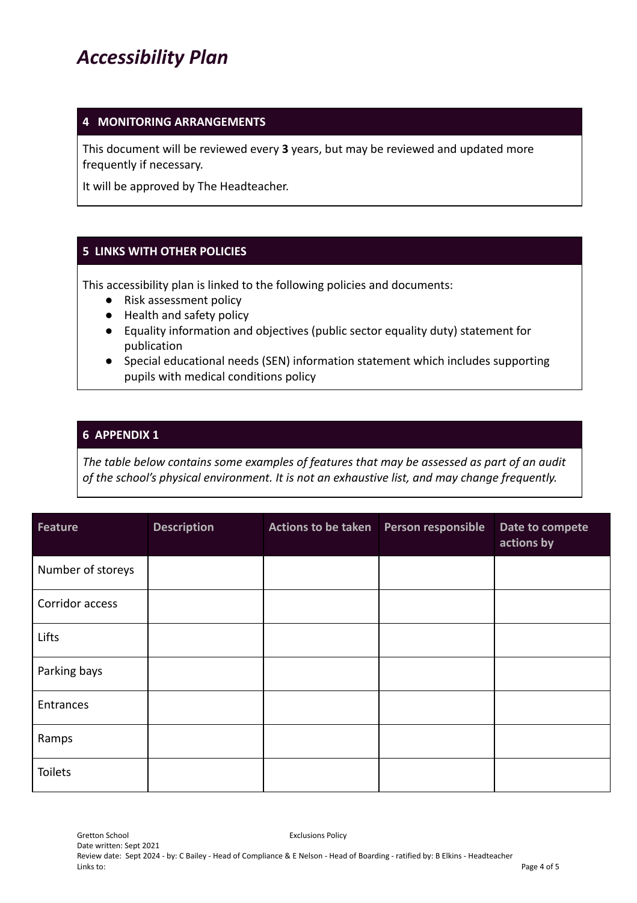#### **4 MONITORING ARRANGEMENTS**

This document will be reviewed every **3** years, but may be reviewed and updated more frequently if necessary.

It will be approved by The Headteacher.

#### **5 LINKS WITH OTHER POLICIES**

This accessibility plan is linked to the following policies and documents:

- Risk assessment policy
- Health and safety policy
- Equality information and objectives (public sector equality duty) statement for publication
- Special educational needs (SEN) information statement which includes supporting pupils with medical conditions policy

#### **6 APPENDIX 1**

*The table below contains some examples of features that may be assessed as part of an audit of the school's physical environment. It is not an exhaustive list, and may change frequently.*

| <b>Feature</b>    | <b>Description</b> | Actions to be taken   Person responsible | Date to compete<br>actions by |
|-------------------|--------------------|------------------------------------------|-------------------------------|
| Number of storeys |                    |                                          |                               |
| Corridor access   |                    |                                          |                               |
| Lifts             |                    |                                          |                               |
| Parking bays      |                    |                                          |                               |
| Entrances         |                    |                                          |                               |
| Ramps             |                    |                                          |                               |
| <b>Toilets</b>    |                    |                                          |                               |